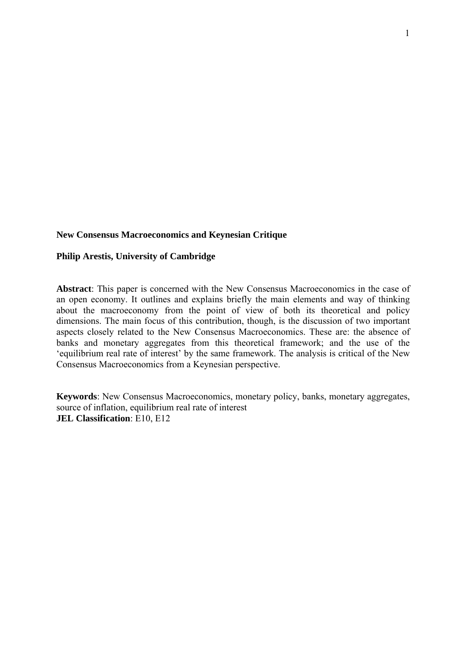### **New Consensus Macroeconomics and Keynesian Critique**

# **Philip Arestis, University of Cambridge**

**Abstract**: This paper is concerned with the New Consensus Macroeconomics in the case of an open economy. It outlines and explains briefly the main elements and way of thinking about the macroeconomy from the point of view of both its theoretical and policy dimensions. The main focus of this contribution, though, is the discussion of two important aspects closely related to the New Consensus Macroeconomics. These are: the absence of banks and monetary aggregates from this theoretical framework; and the use of the 'equilibrium real rate of interest' by the same framework. The analysis is critical of the New Consensus Macroeconomics from a Keynesian perspective.

**Keywords**: New Consensus Macroeconomics, monetary policy, banks, monetary aggregates, source of inflation, equilibrium real rate of interest **JEL Classification**: E10, E12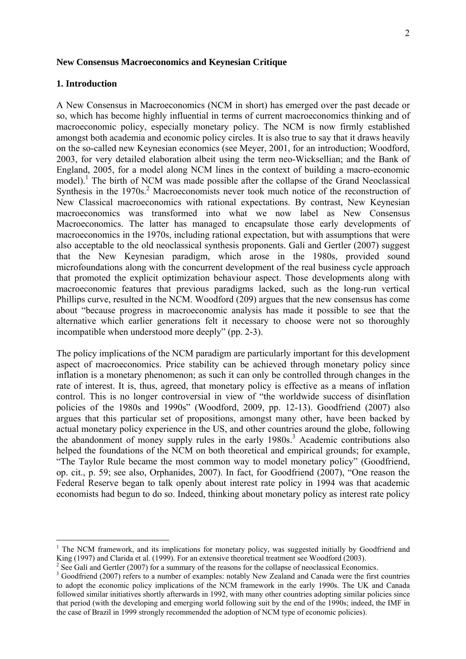#### **New Consensus Macroeconomics and Keynesian Critique**

### **1. Introduction**

 $\overline{a}$ 

A New Consensus in Macroeconomics (NCM in short) has emerged over the past decade or so, which has become highly influential in terms of current macroeconomics thinking and of macroeconomic policy, especially monetary policy. The NCM is now firmly established amongst both academia and economic policy circles. It is also true to say that it draws heavily on the so-called new Keynesian economics (see Meyer, 2001, for an introduction; Woodford, 2003, for very detailed elaboration albeit using the term neo-Wicksellian; and the Bank of England, 2005, for a model along NCM lines in the context of building a macro-economic model).<sup>1</sup> The birth of NCM was made possible after the collapse of the Grand Neoclassical Synthesis in the 1970s.<sup>[2](#page-1-1)</sup> Macroeconomists never took much notice of the reconstruction of New Classical macroeconomics with rational expectations. By contrast, New Keynesian macroeconomics was transformed into what we now label as New Consensus Macroeconomics. The latter has managed to encapsulate those early developments of macroeconomics in the 1970s, including rational expectation, but with assumptions that were also acceptable to the old neoclassical synthesis proponents. Galí and Gertler (2007) suggest that the New Keynesian paradigm, which arose in the 1980s, provided sound microfoundations along with the concurrent development of the real business cycle approach that promoted the explicit optimization behaviour aspect. Those developments along with macroeconomic features that previous paradigms lacked, such as the long-run vertical Phillips curve, resulted in the NCM. Woodford (209) argues that the new consensus has come about "because progress in macroeconomic analysis has made it possible to see that the alternative which earlier generations felt it necessary to choose were not so thoroughly incompatible when understood more deeply" (pp. 2-3).

The policy implications of the NCM paradigm are particularly important for this development aspect of macroeconomics. Price stability can be achieved through monetary policy since inflation is a monetary phenomenon; as such it can only be controlled through changes in the rate of interest. It is, thus, agreed, that monetary policy is effective as a means of inflation control. This is no longer controversial in view of "the worldwide success of disinflation policies of the 1980s and 1990s" (Woodford, 2009, pp. 12-13). Goodfriend (2007) also argues that this particular set of propositions, amongst many other, have been backed by actual monetary policy experience in the US, and other countries around the globe, following the abandonment of money supply rules in the early  $1980s$ .<sup>[3](#page-1-2)</sup> Academic contributions also helped the foundations of the NCM on both theoretical and empirical grounds; for example, "The Taylor Rule became the most common way to model monetary policy" (Goodfriend, op. cit., p. 59; see also, Orphanides, 2007). In fact, for Goodfriend (2007), "One reason the Federal Reserve began to talk openly about interest rate policy in 1994 was that academic economists had begun to do so. Indeed, thinking about monetary policy as interest rate policy

<span id="page-1-0"></span><sup>&</sup>lt;sup>1</sup> The NCM framework, and its implications for monetary policy, was suggested initially by Goodfriend and King (1997) and Clarida et al. (1999). For an extensive theoretical treatment see Woodford (2003).  $\frac{2}{5}$  See Geli and Gortler (2007) for a summary of the reasons for the sollarse of necessaries Escapem

<span id="page-1-1"></span><sup>&</sup>lt;sup>2</sup> See Galí and Gertler (2007) for a summary of the reasons for the collapse of neoclassical Economics.<br><sup>3</sup> Goodfriend (2007) refers to a number of examples: notably New Zealand and Ganada was the first

<span id="page-1-2"></span><sup>&</sup>lt;sup>3</sup> Goodfriend (2007) refers to a number of examples: notably New Zealand and Canada were the first countries to adopt the economic policy implications of the NCM framework in the early 1990s. The UK and Canada followed similar initiatives shortly afterwards in 1992, with many other countries adopting similar policies since that period (with the developing and emerging world following suit by the end of the 1990s; indeed, the IMF in the case of Brazil in 1999 strongly recommended the adoption of NCM type of economic policies).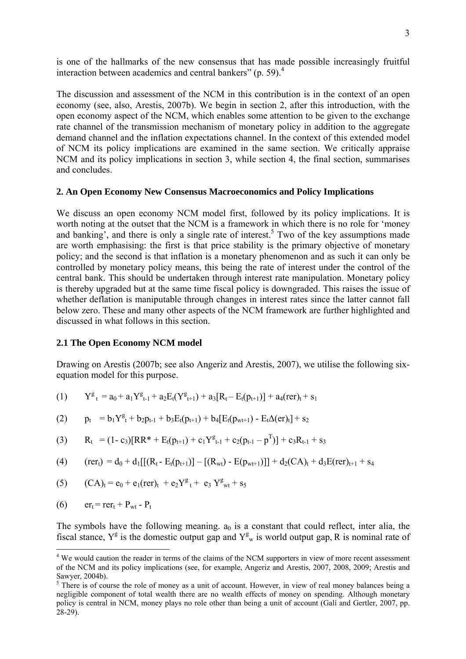is one of the hallmarks of the new consensus that has made possible increasingly fruitful interaction between academics and central bankers" (p. 59). $<sup>4</sup>$  $<sup>4</sup>$  $<sup>4</sup>$ </sup>

The discussion and assessment of the NCM in this contribution is in the context of an open economy (see, also, Arestis, 2007b). We begin in section 2, after this introduction, with the open economy aspect of the NCM, which enables some attention to be given to the exchange rate channel of the transmission mechanism of monetary policy in addition to the aggregate demand channel and the inflation expectations channel. In the context of this extended model of NCM its policy implications are examined in the same section. We critically appraise NCM and its policy implications in section 3, while section 4, the final section, summarises and concludes.

## **2. An Open Economy New Consensus Macroeconomics and Policy Implications**

We discuss an open economy NCM model first, followed by its policy implications. It is worth noting at the outset that the NCM is a framework in which there is no role for 'money and banking', and there is only a single rate of interest.<sup>[5](#page-2-1)</sup> Two of the key assumptions made are worth emphasising: the first is that price stability is the primary objective of monetary policy; and the second is that inflation is a monetary phenomenon and as such it can only be controlled by monetary policy means, this being the rate of interest under the control of the central bank. This should be undertaken through interest rate manipulation. Monetary policy is thereby upgraded but at the same time fiscal policy is downgraded. This raises the issue of whether deflation is maniputable through changes in interest rates since the latter cannot fall below zero. These and many other aspects of the NCM framework are further highlighted and discussed in what follows in this section.

# **2.1 The Open Economy NCM model**

Drawing on Arestis (2007b; see also Angeriz and Arestis, 2007), we utilise the following sixequation model for this purpose.

$$
(1) \tYgt = a0 + a1Ygt-1 + a2Et(Ygt+1) + a3[Rt – Et(pt+1)] + a4(rer)t + s1
$$

(2) 
$$
p_t = b_1 Y_{t}^{g} + b_2 p_{t-1} + b_3 E_t(p_{t+1}) + b_4 [E_t(p_{wt+1}) - E_t \Delta(er)_t] + s_2
$$

(3) 
$$
R_t = (1 - c_3)[RR^* + E_t(p_{t+1}) + c_1Y_{t-1}^g + c_2(p_{t-1} - p^T)] + c_3R_{t-1} + s_3
$$

(4) 
$$
(\text{rer}_t) = d_0 + d_1[[(R_t - E_t(p_{t+1})] - [(R_{wt}) - E(p_{wt+1})]] + d_2(CA)_t + d_3E(\text{rer})_{t+1} + s_4
$$

(5) 
$$
(CA)t = e0 + e1(rer)t + e2Ygt + e3Ygwt + s5
$$

$$
(6) \qquad er_t = rer_t + P_{wt} - P_t
$$

 $\overline{a}$ 

The symbols have the following meaning.  $a_0$  is a constant that could reflect, inter alia, the fiscal stance,  $Y^g$  is the domestic output gap and  $Y^g$ <sub>w</sub> is world output gap, R is nominal rate of

<span id="page-2-0"></span><sup>&</sup>lt;sup>4</sup> We would caution the reader in terms of the claims of the NCM supporters in view of more recent assessment of the NCM and its policy implications (see, for example, Angeriz and Arestis, 2007, 2008, 2009; Arestis and Sawyer, 2004b).

<span id="page-2-1"></span><sup>&</sup>lt;sup>5</sup> There is of course the role of money as a unit of account. However, in view of real money balances being a negligible component of total wealth there are no wealth effects of money on spending. Although monetary policy is central in NCM, money plays no role other than being a unit of account (Galí and Gertler, 2007, pp. 28-29).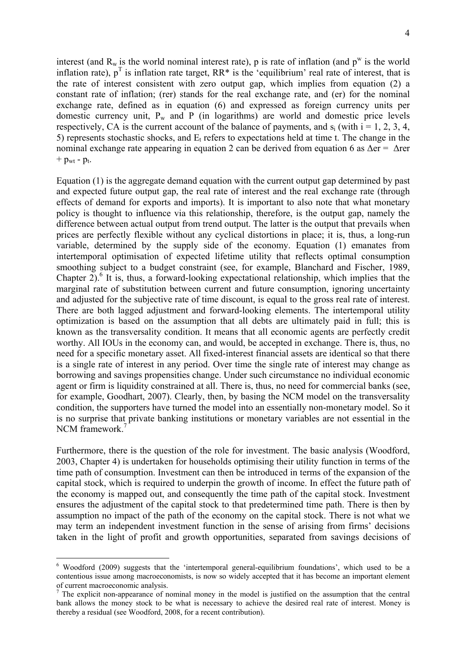interest (and  $R_w$  is the world nominal interest rate), p is rate of inflation (and  $p^w$  is the world inflation rate),  $p^T$  is inflation rate target,  $RR^*$  is the 'equilibrium' real rate of interest, that is the rate of interest consistent with zero output gap, which implies from equation (2) a constant rate of inflation; (rer) stands for the real exchange rate, and (er) for the nominal exchange rate, defined as in equation (6) and expressed as foreign currency units per domestic currency unit,  $P_w$  and P (in logarithms) are world and domestic price levels respectively, CA is the current account of the balance of payments, and  $s_i$  (with  $i = 1, 2, 3, 4$ , 5) represents stochastic shocks, and  $E_t$  refers to expectations held at time t. The change in the nominal exchange rate appearing in equation 2 can be derived from equation 6 as ∆er = ∆rer  $+ p<sub>wt</sub> - p<sub>t</sub>$ .

Equation (1) is the aggregate demand equation with the current output gap determined by past and expected future output gap, the real rate of interest and the real exchange rate (through effects of demand for exports and imports). It is important to also note that what monetary policy is thought to influence via this relationship, therefore, is the output gap, namely the difference between actual output from trend output. The latter is the output that prevails when prices are perfectly flexible without any cyclical distortions in place; it is, thus, a long-run variable, determined by the supply side of the economy. Equation (1) emanates from intertemporal optimisation of expected lifetime utility that reflects optimal consumption smoothing subject to a budget constraint (see, for example, Blanchard and Fischer, 1989, Chapter 2).<sup>6</sup> It is, thus, a forward-looking expectational relationship, which implies that the marginal rate of substitution between current and future consumption, ignoring uncertainty and adjusted for the subjective rate of time discount, is equal to the gross real rate of interest. There are both lagged adjustment and forward-looking elements. The intertemporal utility optimization is based on the assumption that all debts are ultimately paid in full; this is known as the transversality condition. It means that all economic agents are perfectly credit worthy. All IOUs in the economy can, and would, be accepted in exchange. There is, thus, no need for a specific monetary asset. All fixed-interest financial assets are identical so that there is a single rate of interest in any period. Over time the single rate of interest may change as borrowing and savings propensities change. Under such circumstance no individual economic agent or firm is liquidity constrained at all. There is, thus, no need for commercial banks (see, for example, Goodhart, 2007). Clearly, then, by basing the NCM model on the transversality condition, the supporters have turned the model into an essentially non-monetary model. So it is no surprise that private banking institutions or monetary variables are not essential in the NCM framework<sup>[7](#page-3-1)</sup>

Furthermore, there is the question of the role for investment. The basic analysis (Woodford, 2003, Chapter 4) is undertaken for households optimising their utility function in terms of the time path of consumption. Investment can then be introduced in terms of the expansion of the capital stock, which is required to underpin the growth of income. In effect the future path of the economy is mapped out, and consequently the time path of the capital stock. Investment ensures the adjustment of the capital stock to that predetermined time path. There is then by assumption no impact of the path of the economy on the capital stock. There is not what we may term an independent investment function in the sense of arising from firms' decisions taken in the light of profit and growth opportunities, separated from savings decisions of

 $\overline{a}$ 

<span id="page-3-0"></span><sup>&</sup>lt;sup>6</sup> Woodford (2009) suggests that the 'intertemporal general-equilibrium foundations', which used to be a contentious issue among macroeconomists, is now so widely accepted that it has become an important element of current macroeconomic analysis.

<span id="page-3-1"></span><sup>7</sup> The explicit non-appearance of nominal money in the model is justified on the assumption that the central bank allows the money stock to be what is necessary to achieve the desired real rate of interest. Money is thereby a residual (see Woodford, 2008, for a recent contribution).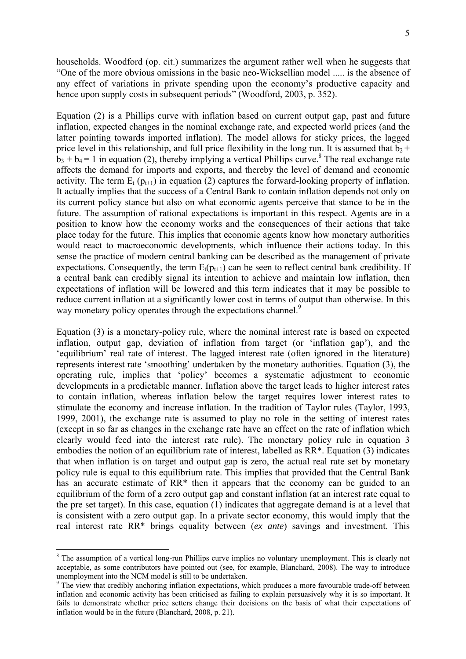households. Woodford (op. cit.) summarizes the argument rather well when he suggests that "One of the more obvious omissions in the basic neo-Wicksellian model ..... is the absence of any effect of variations in private spending upon the economy's productive capacity and hence upon supply costs in subsequent periods" (Woodford, 2003, p. 352).

Equation (2) is a Phillips curve with inflation based on current output gap, past and future inflation, expected changes in the nominal exchange rate, and expected world prices (and the latter pointing towards imported inflation). The model allows for sticky prices, the lagged price level in this relationship, and full price flexibility in the long run. It is assumed that  $b_2$  +  $\mathbf{b}_3 + \mathbf{b}_4 = 1$  in equation (2), thereby implying a vertical Phillips curve.<sup>[8](#page-4-0)</sup> The real exchange rate affects the demand for imports and exports, and thereby the level of demand and economic activity. The term  $E_t$  ( $p_{t+1}$ ) in equation (2) captures the forward-looking property of inflation. It actually implies that the success of a Central Bank to contain inflation depends not only on its current policy stance but also on what economic agents perceive that stance to be in the future. The assumption of rational expectations is important in this respect. Agents are in a position to know how the economy works and the consequences of their actions that take place today for the future. This implies that economic agents know how monetary authorities would react to macroeconomic developments, which influence their actions today. In this sense the practice of modern central banking can be described as the management of private expectations. Consequently, the term  $E_t(p_{t+1})$  can be seen to reflect central bank credibility. If a central bank can credibly signal its intention to achieve and maintain low inflation, then expectations of inflation will be lowered and this term indicates that it may be possible to reduce current inflation at a significantly lower cost in terms of output than otherwise. In this way monetary policy operates through the expectations channel.<sup>[9](#page-4-1)</sup>

Equation (3) is a monetary-policy rule, where the nominal interest rate is based on expected inflation, output gap, deviation of inflation from target (or 'inflation gap'), and the 'equilibrium' real rate of interest. The lagged interest rate (often ignored in the literature) represents interest rate 'smoothing' undertaken by the monetary authorities. Equation (3), the operating rule, implies that 'policy' becomes a systematic adjustment to economic developments in a predictable manner. Inflation above the target leads to higher interest rates to contain inflation, whereas inflation below the target requires lower interest rates to stimulate the economy and increase inflation. In the tradition of Taylor rules (Taylor, 1993, 1999, 2001), the exchange rate is assumed to play no role in the setting of interest rates (except in so far as changes in the exchange rate have an effect on the rate of inflation which clearly would feed into the interest rate rule). The monetary policy rule in equation 3 embodies the notion of an equilibrium rate of interest, labelled as RR\*. Equation (3) indicates that when inflation is on target and output gap is zero, the actual real rate set by monetary policy rule is equal to this equilibrium rate. This implies that provided that the Central Bank has an accurate estimate of RR<sup>\*</sup> then it appears that the economy can be guided to an equilibrium of the form of a zero output gap and constant inflation (at an interest rate equal to the pre set target). In this case, equation (1) indicates that aggregate demand is at a level that is consistent with a zero output gap. In a private sector economy, this would imply that the real interest rate RR\* brings equality between (*ex ante*) savings and investment. This

 $\overline{a}$ 

<span id="page-4-0"></span><sup>&</sup>lt;sup>8</sup> The assumption of a vertical long-run Phillips curve implies no voluntary unemployment. This is clearly not acceptable, as some contributors have pointed out (see, for example, Blanchard, 2008). The way to introduce unemployment into the NCM model is still to be undertaken.

<span id="page-4-1"></span><sup>&</sup>lt;sup>9</sup> The view that credibly anchoring inflation expectations, which produces a more favourable trade-off between inflation and economic activity has been criticised as failing to explain persuasively why it is so important. It fails to demonstrate whether price setters change their decisions on the basis of what their expectations of inflation would be in the future (Blanchard, 2008, p. 21).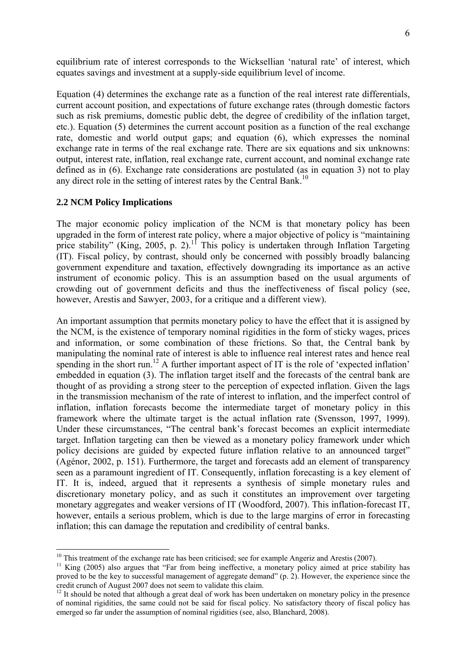equilibrium rate of interest corresponds to the Wicksellian 'natural rate' of interest, which equates savings and investment at a supply-side equilibrium level of income.

Equation (4) determines the exchange rate as a function of the real interest rate differentials, current account position, and expectations of future exchange rates (through domestic factors such as risk premiums, domestic public debt, the degree of credibility of the inflation target, etc.). Equation (5) determines the current account position as a function of the real exchange rate, domestic and world output gaps; and equation (6), which expresses the nominal exchange rate in terms of the real exchange rate. There are six equations and six unknowns: output, interest rate, inflation, real exchange rate, current account, and nominal exchange rate defined as in (6). Exchange rate considerations are postulated (as in equation 3) not to play any direct role in the setting of interest rates by the Central Bank.<sup>10</sup>

# **2.2 NCM Policy Implications**

The major economic policy implication of the NCM is that monetary policy has been upgraded in the form of interest rate policy, where a major objective of policy is "maintaining price stability" (King, 2005, p. 2).<sup>11</sup> This policy is undertaken through Inflation Targeting (IT). Fiscal policy, by contrast, should only be concerned with possibly broadly balancing government expenditure and taxation, effectively downgrading its importance as an active instrument of economic policy. This is an assumption based on the usual arguments of crowding out of government deficits and thus the ineffectiveness of fiscal policy (see, however, Arestis and Sawyer, 2003, for a critique and a different view).

An important assumption that permits monetary policy to have the effect that it is assigned by the NCM, is the existence of temporary nominal rigidities in the form of sticky wages, prices and information, or some combination of these frictions. So that, the Central bank by manipulating the nominal rate of interest is able to influence real interest rates and hence real spending in the short run.<sup>12</sup> A further important aspect of IT is the role of 'expected inflation' embedded in equation (3). The inflation target itself and the forecasts of the central bank are thought of as providing a strong steer to the perception of expected inflation. Given the lags in the transmission mechanism of the rate of interest to inflation, and the imperfect control of inflation, inflation forecasts become the intermediate target of monetary policy in this framework where the ultimate target is the actual inflation rate (Svensson, 1997, 1999). Under these circumstances, "The central bank's forecast becomes an explicit intermediate target. Inflation targeting can then be viewed as a monetary policy framework under which policy decisions are guided by expected future inflation relative to an announced target" (Agénor, 2002, p. 151). Furthermore, the target and forecasts add an element of transparency seen as a paramount ingredient of IT. Consequently, inflation forecasting is a key element of IT. It is, indeed, argued that it represents a synthesis of simple monetary rules and discretionary monetary policy, and as such it constitutes an improvement over targeting monetary aggregates and weaker versions of IT (Woodford, 2007). This inflation-forecast IT, however, entails a serious problem, which is due to the large margins of error in forecasting inflation; this can damage the reputation and credibility of central banks.

<span id="page-5-0"></span> $10$  This treatment of the exchange rate has been criticised; see for example Angeriz and Arestis (2007).

<span id="page-5-1"></span><sup>&</sup>lt;sup>11</sup> King (2005) also argues that "Far from being ineffective, a monetary policy aimed at price stability has proved to be the key to successful management of aggregate demand" (p. 2). However, the experience since the credit crunch of August 2007 does not seem to validate this claim.<br><sup>12</sup> It should be noted that although a great deal of work has been undertaken on monetary policy in the presence

<span id="page-5-2"></span>of nominal rigidities, the same could not be said for fiscal policy. No satisfactory theory of fiscal policy has emerged so far under the assumption of nominal rigidities (see, also, Blanchard, 2008).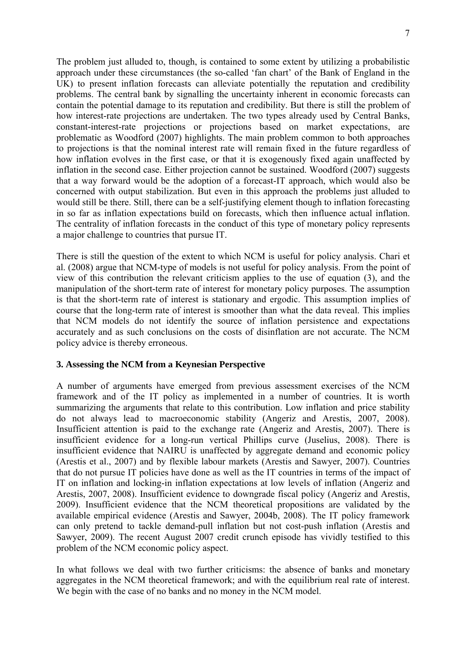The problem just alluded to, though, is contained to some extent by utilizing a probabilistic approach under these circumstances (the so-called 'fan chart' of the Bank of England in the UK) to present inflation forecasts can alleviate potentially the reputation and credibility problems. The central bank by signalling the uncertainty inherent in economic forecasts can contain the potential damage to its reputation and credibility. But there is still the problem of how interest-rate projections are undertaken. The two types already used by Central Banks, constant-interest-rate projections or projections based on market expectations, are

problematic as Woodford (2007) highlights. The main problem common to both approaches to projections is that the nominal interest rate will remain fixed in the future regardless of how inflation evolves in the first case, or that it is exogenously fixed again unaffected by inflation in the second case. Either projection cannot be sustained. Woodford (2007) suggests that a way forward would be the adoption of a forecast-IT approach, which would also be concerned with output stabilization. But even in this approach the problems just alluded to would still be there. Still, there can be a self-justifying element though to inflation forecasting in so far as inflation expectations build on forecasts, which then influence actual inflation. The centrality of inflation forecasts in the conduct of this type of monetary policy represents a major challenge to countries that pursue IT.

There is still the question of the extent to which NCM is useful for policy analysis. Chari et al. (2008) argue that NCM-type of models is not useful for policy analysis. From the point of view of this contribution the relevant criticism applies to the use of equation (3), and the manipulation of the short-term rate of interest for monetary policy purposes. The assumption is that the short-term rate of interest is stationary and ergodic. This assumption implies of course that the long-term rate of interest is smoother than what the data reveal. This implies that NCM models do not identify the source of inflation persistence and expectations accurately and as such conclusions on the costs of disinflation are not accurate. The NCM policy advice is thereby erroneous.

# **3. Assessing the NCM from a Keynesian Perspective**

A number of arguments have emerged from previous assessment exercises of the NCM framework and of the IT policy as implemented in a number of countries. It is worth summarizing the arguments that relate to this contribution. Low inflation and price stability do not always lead to macroeconomic stability (Angeriz and Arestis, 2007, 2008). Insufficient attention is paid to the exchange rate (Angeriz and Arestis, 2007). There is insufficient evidence for a long-run vertical Phillips curve (Juselius, 2008). There is insufficient evidence that NAIRU is unaffected by aggregate demand and economic policy (Arestis et al., 2007) and by flexible labour markets (Arestis and Sawyer, 2007). Countries that do not pursue IT policies have done as well as the IT countries in terms of the impact of IT on inflation and locking-in inflation expectations at low levels of inflation (Angeriz and Arestis, 2007, 2008). Insufficient evidence to downgrade fiscal policy (Angeriz and Arestis, 2009). Insufficient evidence that the NCM theoretical propositions are validated by the available empirical evidence (Arestis and Sawyer, 2004b, 2008). The IT policy framework can only pretend to tackle demand-pull inflation but not cost-push inflation (Arestis and Sawyer, 2009). The recent August 2007 credit crunch episode has vividly testified to this problem of the NCM economic policy aspect.

In what follows we deal with two further criticisms: the absence of banks and monetary aggregates in the NCM theoretical framework; and with the equilibrium real rate of interest. We begin with the case of no banks and no money in the NCM model.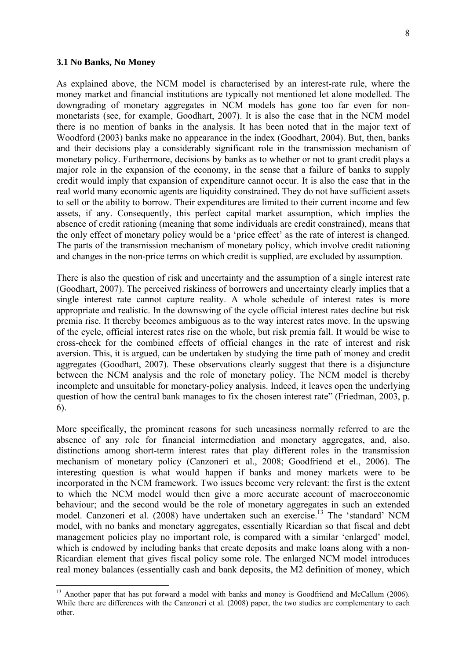### **3.1 No Banks, No Money**

 $\overline{a}$ 

As explained above, the NCM model is characterised by an interest-rate rule, where the money market and financial institutions are typically not mentioned let alone modelled. The downgrading of monetary aggregates in NCM models has gone too far even for nonmonetarists (see, for example, Goodhart, 2007). It is also the case that in the NCM model there is no mention of banks in the analysis. It has been noted that in the major text of Woodford (2003) banks make no appearance in the index (Goodhart, 2004). But, then, banks and their decisions play a considerably significant role in the transmission mechanism of monetary policy. Furthermore, decisions by banks as to whether or not to grant credit plays a major role in the expansion of the economy, in the sense that a failure of banks to supply credit would imply that expansion of expenditure cannot occur. It is also the case that in the real world many economic agents are liquidity constrained. They do not have sufficient assets to sell or the ability to borrow. Their expenditures are limited to their current income and few assets, if any. Consequently, this perfect capital market assumption, which implies the absence of credit rationing (meaning that some individuals are credit constrained), means that the only effect of monetary policy would be a 'price effect' as the rate of interest is changed. The parts of the transmission mechanism of monetary policy, which involve credit rationing and changes in the non-price terms on which credit is supplied, are excluded by assumption.

There is also the question of risk and uncertainty and the assumption of a single interest rate (Goodhart, 2007). The perceived riskiness of borrowers and uncertainty clearly implies that a single interest rate cannot capture reality. A whole schedule of interest rates is more appropriate and realistic. In the downswing of the cycle official interest rates decline but risk premia rise. It thereby becomes ambiguous as to the way interest rates move. In the upswing of the cycle, official interest rates rise on the whole, but risk premia fall. It would be wise to cross-check for the combined effects of official changes in the rate of interest and risk aversion. This, it is argued, can be undertaken by studying the time path of money and credit aggregates (Goodhart, 2007). These observations clearly suggest that there is a disjuncture between the NCM analysis and the role of monetary policy. The NCM model is thereby incomplete and unsuitable for monetary-policy analysis. Indeed, it leaves open the underlying question of how the central bank manages to fix the chosen interest rate" (Friedman, 2003, p. 6).

More specifically, the prominent reasons for such uneasiness normally referred to are the absence of any role for financial intermediation and monetary aggregates, and, also, distinctions among short-term interest rates that play different roles in the transmission mechanism of monetary policy (Canzoneri et al., 2008; Goodfriend et el., 2006). The interesting question is what would happen if banks and money markets were to be incorporated in the NCM framework. Two issues become very relevant: the first is the extent to which the NCM model would then give a more accurate account of macroeconomic behaviour; and the second would be the role of monetary aggregates in such an extended model. Canzoneri et al. (2008) have undertaken such an exercise[.13](#page-7-0) The 'standard' NCM model, with no banks and monetary aggregates, essentially Ricardian so that fiscal and debt management policies play no important role, is compared with a similar 'enlarged' model, which is endowed by including banks that create deposits and make loans along with a non-Ricardian element that gives fiscal policy some role. The enlarged NCM model introduces real money balances (essentially cash and bank deposits, the M2 definition of money, which

<span id="page-7-0"></span><sup>&</sup>lt;sup>13</sup> Another paper that has put forward a model with banks and money is Goodfriend and McCallum (2006). While there are differences with the Canzoneri et al. (2008) paper, the two studies are complementary to each other.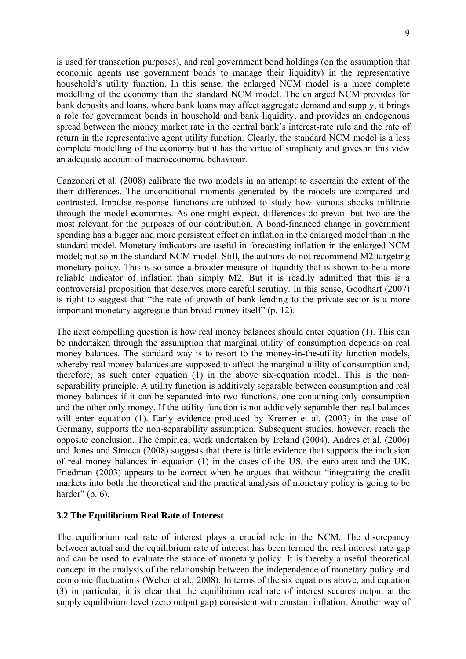is used for transaction purposes), and real government bond holdings (on the assumption that economic agents use government bonds to manage their liquidity) in the representative household's utility function. In this sense, the enlarged NCM model is a more complete modelling of the economy than the standard NCM model. The enlarged NCM provides for bank deposits and loans, where bank loans may affect aggregate demand and supply, it brings a role for government bonds in household and bank liquidity, and provides an endogenous spread between the money market rate in the central bank's interest-rate rule and the rate of return in the representative agent utility function. Clearly, the standard NCM model is a less complete modelling of the economy but it has the virtue of simplicity and gives in this view an adequate account of macroeconomic behaviour.

Canzoneri et al. (2008) calibrate the two models in an attempt to ascertain the extent of the their differences. The unconditional moments generated by the models are compared and contrasted. Impulse response functions are utilized to study how various shocks infiltrate through the model economies. As one might expect, differences do prevail but two are the most relevant for the purposes of our contribution. A bond-financed change in government spending has a bigger and more persistent effect on inflation in the enlarged model than in the standard model. Monetary indicators are useful in forecasting inflation in the enlarged NCM model; not so in the standard NCM model. Still, the authors do not recommend M2-targeting monetary policy. This is so since a broader measure of liquidity that is shown to be a more reliable indicator of inflation than simply M2. But it is readily admitted that this is a controversial proposition that deserves more careful scrutiny. In this sense, Goodhart (2007) is right to suggest that "the rate of growth of bank lending to the private sector is a more important monetary aggregate than broad money itself" (p. 12).

The next compelling question is how real money balances should enter equation (1). This can be undertaken through the assumption that marginal utility of consumption depends on real money balances. The standard way is to resort to the money-in-the-utility function models, whereby real money balances are supposed to affect the marginal utility of consumption and, therefore, as such enter equation (1) in the above six-equation model. This is the nonseparability principle. A utility function is additively separable between consumption and real money balances if it can be separated into two functions, one containing only consumption and the other only money. If the utility function is not additively separable then real balances will enter equation (1). Early evidence produced by Kremer et al. (2003) in the case of Germany, supports the non-separability assumption. Subsequent studies, however, reach the opposite conclusion. The empirical work undertaken by Ireland (2004), Andres et al. (2006) and Jones and Stracca (2008) suggests that there is little evidence that supports the inclusion of real money balances in equation (1) in the cases of the US, the euro area and the UK. Friedman (2003) appears to be correct when he argues that without "integrating the credit markets into both the theoretical and the practical analysis of monetary policy is going to be harder"  $(p, 6)$ .

### **3.2 The Equilibrium Real Rate of Interest**

The equilibrium real rate of interest plays a crucial role in the NCM. The discrepancy between actual and the equilibrium rate of interest has been termed the real interest rate gap and can be used to evaluate the stance of monetary policy. It is thereby a useful theoretical concept in the analysis of the relationship between the independence of monetary policy and economic fluctuations (Weber et al., 2008). In terms of the six equations above, and equation (3) in particular, it is clear that the equilibrium real rate of interest secures output at the supply equilibrium level (zero output gap) consistent with constant inflation. Another way of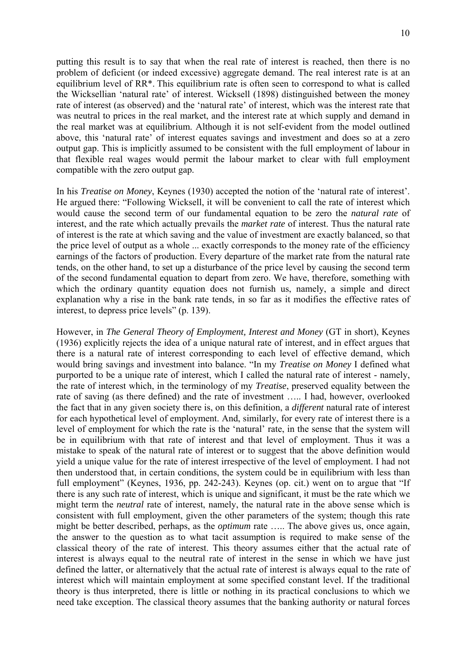putting this result is to say that when the real rate of interest is reached, then there is no problem of deficient (or indeed excessive) aggregate demand. The real interest rate is at an equilibrium level of RR\*. This equilibrium rate is often seen to correspond to what is called the Wicksellian 'natural rate' of interest. Wicksell (1898) distinguished between the money rate of interest (as observed) and the 'natural rate' of interest, which was the interest rate that was neutral to prices in the [real market](http://en.wikipedia.org/w/index.php?title=Real_market&action=edit), and the interest rate at which [supply and demand](http://en.wikipedia.org/wiki/Supply_and_demand) in the real market was at equilibrium. Although it is not self-evident from the model outlined above, this 'natural rate' of interest equates savings and investment and does so at a zero output gap. This is implicitly assumed to be consistent with the full employment of labour in that flexible real wages would permit the labour market to clear with full employment compatible with the zero output gap.

In his *Treatise on Money*, Keynes (1930) accepted the notion of the 'natural rate of interest'. He argued there: "Following Wicksell, it will be convenient to call the rate of interest which would cause the second term of our fundamental equation to be zero the *natural rate* of interest, and the rate which actually prevails the *market rate* of interest. Thus the natural rate of interest is the rate at which saving and the value of investment are exactly balanced, so that the price level of output as a whole ... exactly corresponds to the money rate of the efficiency earnings of the factors of production. Every departure of the market rate from the natural rate tends, on the other hand, to set up a disturbance of the price level by causing the second term of the second fundamental equation to depart from zero. We have, therefore, something with which the ordinary quantity equation does not furnish us, namely, a simple and direct explanation why a rise in the bank rate tends, in so far as it modifies the effective rates of interest, to depress price levels" (p. 139).

However, in *The General Theory of Employment, Interest and Money* (GT in short), Keynes (1936) explicitly rejects the idea of a unique natural rate of interest, and in effect argues that there is a natural rate of interest corresponding to each level of effective demand, which would bring savings and investment into balance. "In my *Treatise on Money* I defined what purported to be a unique rate of interest, which I called the natural rate of interest - namely, the rate of interest which, in the terminology of my *Treatise*, preserved equality between the rate of saving (as there defined) and the rate of investment ….. I had, however, overlooked the fact that in any given society there is, on this definition, a *different* natural rate of interest for each hypothetical level of employment. And, similarly, for every rate of interest there is a level of employment for which the rate is the 'natural' rate, in the sense that the system will be in equilibrium with that rate of interest and that level of employment. Thus it was a mistake to speak of the natural rate of interest or to suggest that the above definition would yield a unique value for the rate of interest irrespective of the level of employment. I had not then understood that, in certain conditions, the system could be in equilibrium with less than full employment" (Keynes, 1936, pp. 242-243). Keynes (op. cit.) went on to argue that "If there is any such rate of interest, which is unique and significant, it must be the rate which we might term the *neutral* rate of interest, namely, the natural rate in the above sense which is consistent with full employment, given the other parameters of the system; though this rate might be better described, perhaps, as the *optimum* rate ….. The above gives us, once again, the answer to the question as to what tacit assumption is required to make sense of the classical theory of the rate of interest. This theory assumes either that the actual rate of interest is always equal to the neutral rate of interest in the sense in which we have just defined the latter, or alternatively that the actual rate of interest is always equal to the rate of interest which will maintain employment at some specified constant level. If the traditional theory is thus interpreted, there is little or nothing in its practical conclusions to which we need take exception. The classical theory assumes that the banking authority or natural forces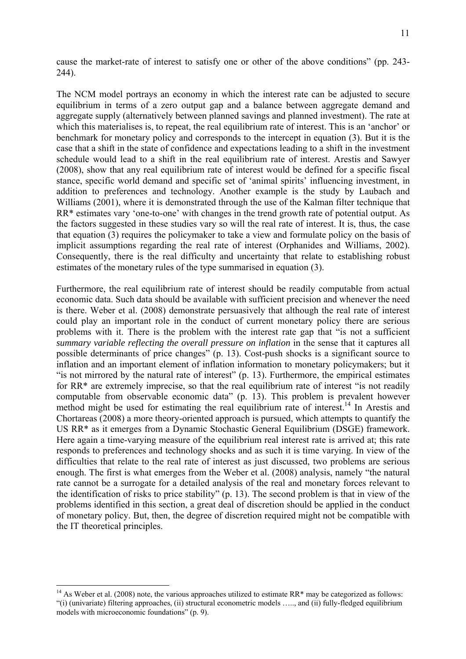cause the market-rate of interest to satisfy one or other of the above conditions" (pp. 243- 244).

The NCM model portrays an economy in which the interest rate can be adjusted to secure equilibrium in terms of a zero output gap and a balance between aggregate demand and aggregate supply (alternatively between planned savings and planned investment). The rate at which this materialises is, to repeat, the real equilibrium rate of interest. This is an 'anchor' or benchmark for monetary policy and corresponds to the intercept in equation (3). But it is the case that a shift in the state of confidence and expectations leading to a shift in the investment schedule would lead to a shift in the real equilibrium rate of interest. Arestis and Sawyer (2008), show that any real equilibrium rate of interest would be defined for a specific fiscal stance, specific world demand and specific set of 'animal spirits' influencing investment, in addition to preferences and technology. Another example is the study by Laubach and Williams (2001), where it is demonstrated through the use of the Kalman filter technique that RR\* estimates vary 'one-to-one' with changes in the trend growth rate of potential output. As the factors suggested in these studies vary so will the real rate of interest. It is, thus, the case that equation (3) requires the policymaker to take a view and formulate policy on the basis of implicit assumptions regarding the real rate of interest (Orphanides and Williams, 2002). Consequently, there is the real difficulty and uncertainty that relate to establishing robust estimates of the monetary rules of the type summarised in equation (3).

Furthermore, the real equilibrium rate of interest should be readily computable from actual economic data. Such data should be available with sufficient precision and whenever the need is there. Weber et al. (2008) demonstrate persuasively that although the real rate of interest could play an important role in the conduct of current monetary policy there are serious problems with it. There is the problem with the interest rate gap that "is not a sufficient *summary variable reflecting the overall pressure on inflation* in the sense that it captures all possible determinants of price changes" (p. 13). Cost-push shocks is a significant source to inflation and an important element of inflation information to monetary policymakers; but it "is not mirrored by the natural rate of interest" (p. 13). Furthermore, the empirical estimates for RR\* are extremely imprecise, so that the real equilibrium rate of interest "is not readily computable from observable economic data" (p. 13). This problem is prevalent however method might be used for estimating the real equilibrium rate of interest.<sup>14</sup> In Arestis and Chortareas (2008) a more theory-oriented approach is pursued, which attempts to quantify the US RR\* as it emerges from a Dynamic Stochastic General Equilibrium (DSGE) framework. Here again a time-varying measure of the equilibrium real interest rate is arrived at; this rate responds to preferences and technology shocks and as such it is time varying. In view of the difficulties that relate to the real rate of interest as just discussed, two problems are serious enough. The first is what emerges from the Weber et al. (2008) analysis, namely "the natural rate cannot be a surrogate for a detailed analysis of the real and monetary forces relevant to the identification of risks to price stability" (p. 13). The second problem is that in view of the problems identified in this section, a great deal of discretion should be applied in the conduct of monetary policy. But, then, the degree of discretion required might not be compatible with the IT theoretical principles.

 $\overline{a}$ 

<span id="page-10-0"></span><sup>&</sup>lt;sup>14</sup> As Weber et al. (2008) note, the various approaches utilized to estimate  $RR*$  may be categorized as follows: "(i) (univariate) filtering approaches, (ii) structural econometric models ….., and (ii) fully-fledged equilibrium models with microeconomic foundations" (p. 9).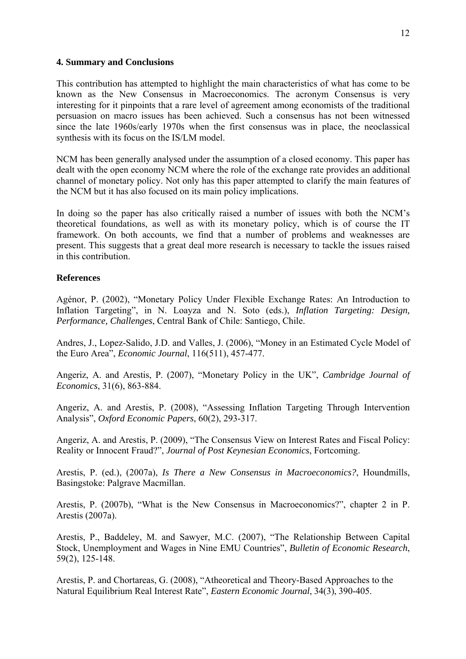## **4. Summary and Conclusions**

This contribution has attempted to highlight the main characteristics of what has come to be known as the New Consensus in Macroeconomics. The acronym Consensus is very interesting for it pinpoints that a rare level of agreement among economists of the traditional persuasion on macro issues has been achieved. Such a consensus has not been witnessed since the late 1960s/early 1970s when the first consensus was in place, the neoclassical synthesis with its focus on the IS/LM model.

NCM has been generally analysed under the assumption of a closed economy. This paper has dealt with the open economy NCM where the role of the exchange rate provides an additional channel of monetary policy. Not only has this paper attempted to clarify the main features of the NCM but it has also focused on its main policy implications.

In doing so the paper has also critically raised a number of issues with both the NCM's theoretical foundations, as well as with its monetary policy, which is of course the IT framework. On both accounts, we find that a number of problems and weaknesses are present. This suggests that a great deal more research is necessary to tackle the issues raised in this contribution.

# **References**

Agénor, P. (2002), "Monetary Policy Under Flexible Exchange Rates: An Introduction to Inflation Targeting", in N. Loayza and N. Soto (eds.), *Inflation Targeting: Design, Performance, Challenges*, Central Bank of Chile: Santiego, Chile.

Andres, J., Lopez-Salido, J.D. and Valles, J. (2006), "Money in an Estimated Cycle Model of the Euro Area", *Economic Journal*, 116(511), 457-477.

Angeriz, A. and Arestis, P. (2007), "Monetary Policy in the UK", *Cambridge Journal of Economics*, 31(6), 863-884.

Angeriz, A. and Arestis, P. (2008), "Assessing Inflation Targeting Through Intervention Analysis", *Oxford Economic Papers*, 60(2), 293-317.

Angeriz, A. and Arestis, P. (2009), "The Consensus View on Interest Rates and Fiscal Policy: Reality or Innocent Fraud?", *Journal of Post Keynesian Economics*, Fortcoming.

Arestis, P. (ed.), (2007a), *Is There a New Consensus in Macroeconomics?*, Houndmills, Basingstoke: Palgrave Macmillan.

Arestis, P. (2007b), "What is the New Consensus in Macroeconomics?", chapter 2 in P. Arestis (2007a).

Arestis, P., Baddeley, M. and Sawyer, M.C. (2007), "The Relationship Between Capital Stock, Unemployment and Wages in Nine EMU Countries", *Bulletin of Economic Research*, 59(2), 125-148.

Arestis, P. and Chortareas, G. (2008), "Atheoretical and Theory-Based Approaches to the Natural Equilibrium Real Interest Rate", *Eastern Economic Journal*, 34(3), 390-405.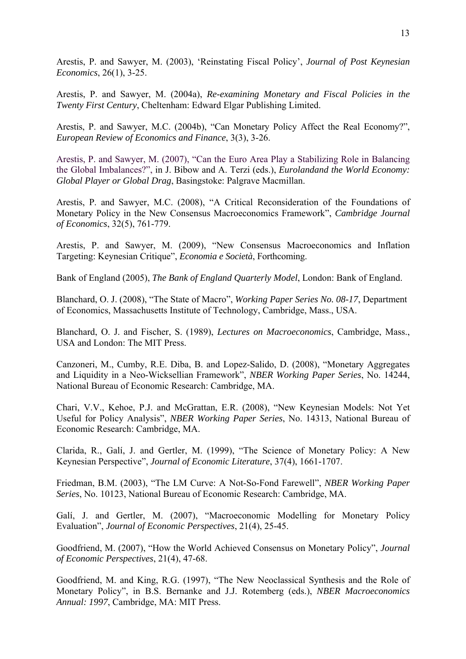Arestis, P. and Sawyer, M. (2003), 'Reinstating Fiscal Policy', *Journal of Post Keynesian Economics*, 26(1), 3-25.

Arestis, P. and Sawyer, M. (2004a), *Re-examining Monetary and Fiscal Policies in the Twenty First Century*, Cheltenham: Edward Elgar Publishing Limited.

Arestis, P. and Sawyer, M.C. (2004b), "Can Monetary Policy Affect the Real Economy?", *European Review of Economics and Finance*, 3(3), 3-26.

Arestis, P. and Sawyer, M. (2007), "Can the Euro Area Play a Stabilizing Role in Balancing the Global Imbalances?", in J. Bibow and A. Terzi (eds.), *Eurolandand the World Economy: Global Player or Global Drag*, Basingstoke: Palgrave Macmillan.

Arestis, P. and Sawyer, M.C. (2008), "A Critical Reconsideration of the Foundations of Monetary Policy in the New Consensus Macroeconomics Framework", *Cambridge Journal of Economics*, 32(5), 761-779.

Arestis, P. and Sawyer, M. (2009), "New Consensus Macroeconomics and Inflation Targeting: Keynesian Critique", *Economia e Società*, Forthcoming.

Bank of England (2005), *The Bank of England Quarterly Model*, London: Bank of England.

Blanchard, O. J. (2008), "The State of Macro", *Working Paper Series No. 08-17*, Department of Economics, Massachusetts Institute of Technology, Cambridge, Mass., USA.

Blanchard, O. J. and Fischer, S. (1989), *Lectures on Macroeconomics*, Cambridge, Mass., USA and London: The MIT Press.

Canzoneri, M., Cumby, R.E. Diba, B. and Lopez-Salido, D. (2008), "Monetary Aggregates and Liquidity in a Neo-Wicksellian Framework", *NBER Working Paper Series*, No. 14244, National Bureau of Economic Research: Cambridge, MA.

Chari, V.V., Kehoe, P.J. and McGrattan, E.R. (2008), "New Keynesian Models: Not Yet Useful for Policy Analysis", *NBER Working Paper Series*, No. 14313, National Bureau of Economic Research: Cambridge, MA.

Clarida, R., Galí, J. and Gertler, M. (1999), "The Science of Monetary Policy: A New Keynesian Perspective", *Journal of Economic Literature*, 37(4), 1661-1707.

Friedman, B.M. (2003), "The LM Curve: A Not-So-Fond Farewell", *NBER Working Paper Series*, No. 10123, National Bureau of Economic Research: Cambridge, MA.

Galí, J. and Gertler, M. (2007), "Macroeconomic Modelling for Monetary Policy Evaluation", *Journal of Economic Perspectives*, 21(4), 25-45.

Goodfriend, M. (2007), "How the World Achieved Consensus on Monetary Policy", *Journal of Economic Perspectives*, 21(4), 47-68.

Goodfriend, M. and King, R.G. (1997), "The New Neoclassical Synthesis and the Role of Monetary Policy", in B.S. Bernanke and J.J. Rotemberg (eds.), *NBER Macroeconomics Annual: 1997*, Cambridge, MA: MIT Press.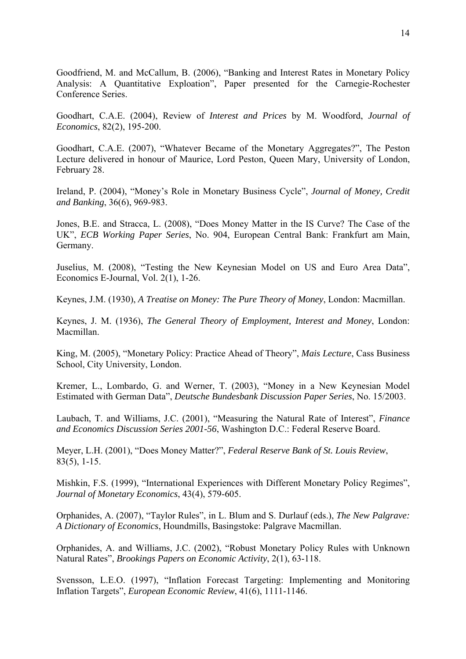Goodfriend, M. and McCallum, B. (2006), "Banking and Interest Rates in Monetary Policy Analysis: A Quantitative Exploation", Paper presented for the Carnegie-Rochester Conference Series.

Goodhart, C.A.E. (2004), Review of *Interest and Prices* by M. Woodford, *Journal of Economics*, 82(2), 195-200.

Goodhart, C.A.E. (2007), "Whatever Became of the Monetary Aggregates?", The Peston Lecture delivered in honour of Maurice, Lord Peston, Queen Mary, University of London, February 28.

Ireland, P. (2004), "Money's Role in Monetary Business Cycle", *Journal of Money, Credit and Banking*, 36(6), 969-983.

Jones, B.E. and Stracca, L. (2008), "Does Money Matter in the IS Curve? The Case of the UK", *ECB Working Paper Series*, No. 904, European Central Bank: Frankfurt am Main, Germany.

Juselius, M. (2008), "Testing the New Keynesian Model on US and Euro Area Data", Economics E-Journal, Vol. 2(1), 1-26.

Keynes, J.M. (1930), *A Treatise on Money: The Pure Theory of Money*, London: Macmillan.

Keynes, J. M. (1936), *The General Theory of Employment, Interest and Money*, London: Macmillan.

King, M. (2005), "Monetary Policy: Practice Ahead of Theory", *Mais Lecture*, Cass Business School, City University, London.

Kremer, L., Lombardo, G. and Werner, T. (2003), "Money in a New Keynesian Model Estimated with German Data", *Deutsche Bundesbank Discussion Paper Series*, No. 15/2003.

Laubach, T. and Williams, J.C. (2001), "Measuring the Natural Rate of Interest", *Finance and Economics Discussion Series 2001-56*, Washington D.C.: Federal Reserve Board.

Meyer, L.H. (2001), "Does Money Matter?", *Federal Reserve Bank of St. Louis Review*, 83(5), 1-15.

Mishkin, F.S. (1999), "International Experiences with Different Monetary Policy Regimes", *Journal of Monetary Economics*, 43(4), 579-605.

Orphanides, A. (2007), "Taylor Rules", in L. Blum and S. Durlauf (eds.), *The New Palgrave: A Dictionary of Economics*, Houndmills, Basingstoke: Palgrave Macmillan.

Orphanides, A. and Williams, J.C. (2002), "Robust Monetary Policy Rules with Unknown Natural Rates", *Brookings Papers on Economic Activity*, 2(1), 63-118.

Svensson, L.E.O. (1997), "Inflation Forecast Targeting: Implementing and Monitoring Inflation Targets", *European Economic Review*, 41(6), 1111-1146.